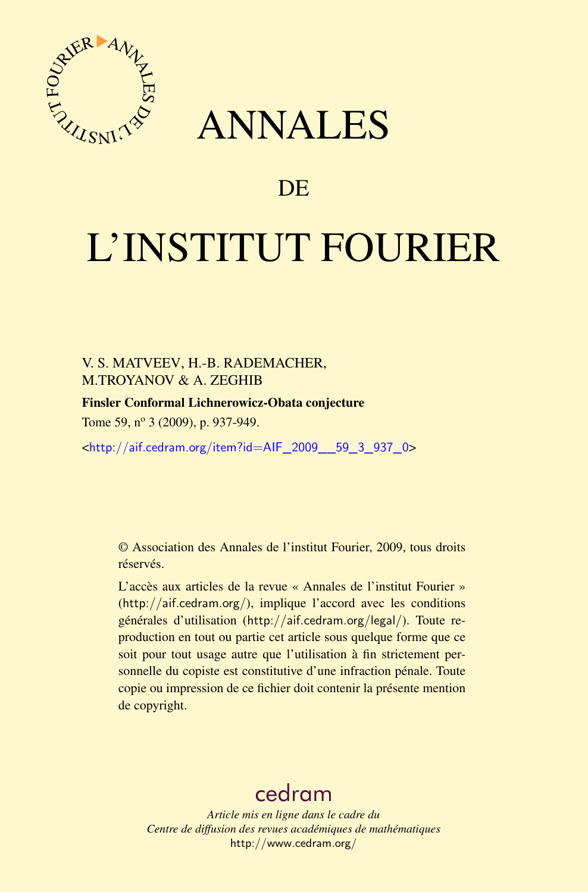

## ANNALES

## **DE**

# L'INSTITUT FOURIER

#### V. S. MATVEEV, H.-B. RADEMACHER, M.TROYANOV & A. ZEGHIB

#### Finsler Conformal Lichnerowicz-Obata conjecture

Tome 59, nº 3 (2009), p. 937-949.

<[http://aif.cedram.org/item?id=AIF\\_2009\\_\\_59\\_3\\_937\\_0](http://aif.cedram.org/item?id=AIF_2009__59_3_937_0)>

© Association des Annales de l'institut Fourier, 2009, tous droits réservés.

L'accès aux articles de la revue « Annales de l'institut Fourier » (<http://aif.cedram.org/>), implique l'accord avec les conditions générales d'utilisation (<http://aif.cedram.org/legal/>). Toute reproduction en tout ou partie cet article sous quelque forme que ce soit pour tout usage autre que l'utilisation à fin strictement personnelle du copiste est constitutive d'une infraction pénale. Toute copie ou impression de ce fichier doit contenir la présente mention de copyright.

## [cedram](http://www.cedram.org/)

*Article mis en ligne dans le cadre du Centre de diffusion des revues académiques de mathématiques* <http://www.cedram.org/>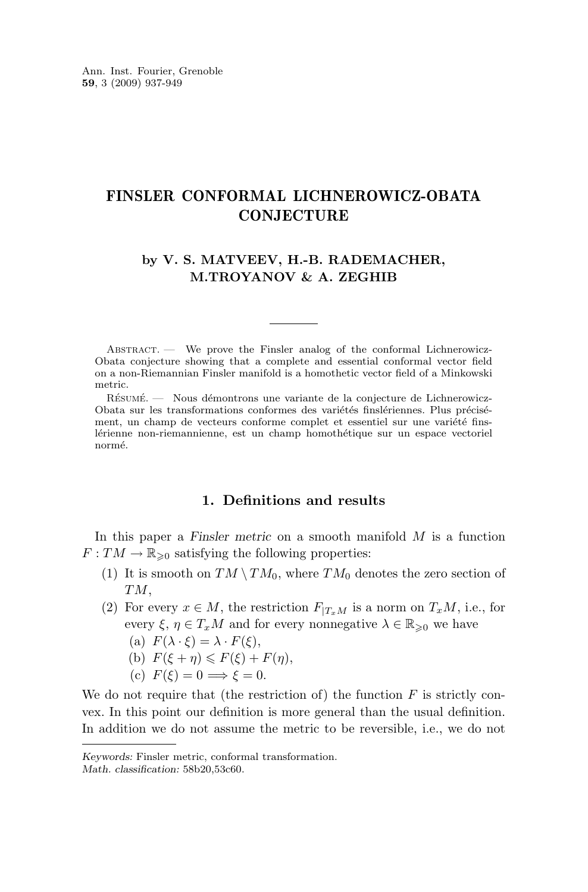#### <span id="page-1-0"></span>FINSLER CONFORMAL LICHNEROWICZ-OBATA **CONJECTURE**

#### **by V. S. MATVEEV, H.-B. RADEMACHER, M.TROYANOV & A. ZEGHIB**

Abstract. — We prove the Finsler analog of the conformal Lichnerowicz-Obata conjecture showing that a complete and essential conformal vector field on a non-Riemannian Finsler manifold is a homothetic vector field of a Minkowski metric.

Résumé. — Nous démontrons une variante de la conjecture de Lichnerowicz-Obata sur les transformations conformes des variétés finslériennes. Plus précisément, un champ de vecteurs conforme complet et essentiel sur une variété finslérienne non-riemannienne, est un champ homothétique sur un espace vectoriel normé.

#### **1. Definitions and results**

In this paper a *Finsler metric* on a smooth manifold M is a function  $F: TM \to \mathbb{R}_{\geq 0}$  satisfying the following properties:

- (1) It is smooth on  $TM \setminus TM_0$ , where  $TM_0$  denotes the zero section of TM,
- (2) For every  $x \in M$ , the restriction  $F_{T_xM}$  is a norm on  $T_xM$ , i.e., for every  $\xi, \eta \in T_xM$  and for every nonnegative  $\lambda \in \mathbb{R}_{\geqslant 0}$  we have
	- (a)  $F(\lambda \cdot \xi) = \lambda \cdot F(\xi),$
	- (b)  $F(\xi + \eta) \leq F(\xi) + F(\eta)$ ,
	- (c)  $F(\xi) = 0 \Longrightarrow \xi = 0.$

We do not require that (the restriction of) the function  $F$  is strictly convex. In this point our definition is more general than the usual definition. In addition we do not assume the metric to be reversible, i.e., we do not

*Keywords:* Finsler metric, conformal transformation.

*Math. classification:* 58b20,53c60.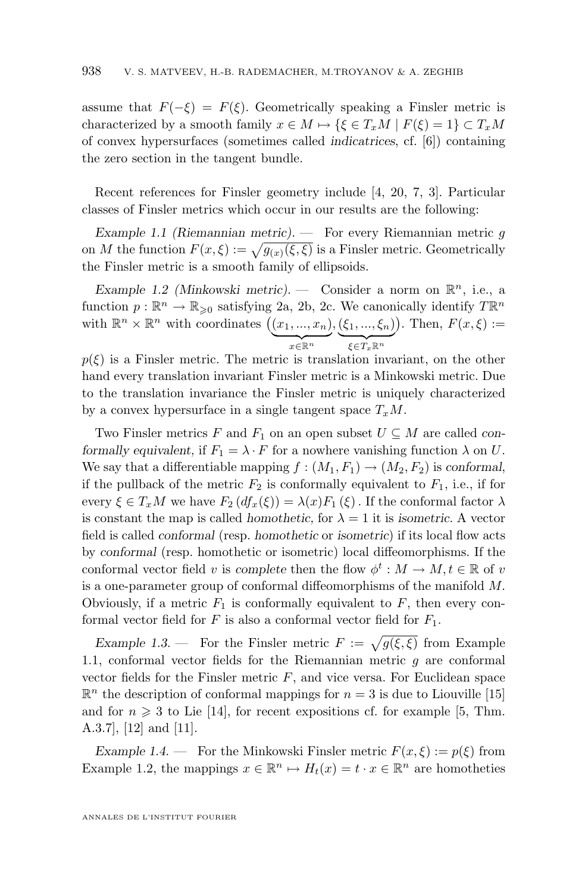<span id="page-2-0"></span>assume that  $F(-\xi) = F(\xi)$ . Geometrically speaking a Finsler metric is characterized by a smooth family  $x \in M \mapsto {\{\xi \in T_xM \mid F(\xi) = 1\}} \subset T_xM$ of convex hypersurfaces (sometimes called *indicatrices*, cf. [\[6\]](#page-12-0)) containing the zero section in the tangent bundle.

Recent references for Finsler geometry include [\[4,](#page-12-0) [20,](#page-13-0) [7,](#page-12-0) [3\]](#page-12-0). Particular classes of Finsler metrics which occur in our results are the following:

*Example 1.1 (Riemannian metric). —* For every Riemannian metric g on M the function  $F(x,\xi) := \sqrt{g(x)(\xi,\xi)}$  is a Finsler metric. Geometrically the Finsler metric is a smooth family of ellipsoids.

*Example 1.2 (Minkowski metric).* – Consider a norm on  $\mathbb{R}^n$ , i.e., a function  $p : \mathbb{R}^n \to \mathbb{R}_{\geqslant 0}$  satisfying [2a,](#page-1-0) [2b,](#page-1-0) [2c.](#page-1-0) We canonically identify  $T\mathbb{R}^n$ with  $\mathbb{R}^n \times \mathbb{R}^n$  with coordinates  $((x_1, ..., x_n))$  $x \in \mathbb{R}^n$  $,(\xi _{1},...,\xi _{n})$  $\xi \in T_x \mathbb{R}^n$ ). Then,  $F(x,\xi) :=$ 

 $p(\xi)$  is a Finsler metric. The metric is translation invariant, on the other hand every translation invariant Finsler metric is a Minkowski metric. Due to the translation invariance the Finsler metric is uniquely characterized by a convex hypersurface in a single tangent space  $T_xM$ .

Two Finsler metrics F and  $F_1$  on an open subset  $U \subseteq M$  are called *conformally equivalent,* if  $F_1 = \lambda \cdot F$  for a nowhere vanishing function  $\lambda$  on U. We say that a differentiable mapping  $f : (M_1, F_1) \to (M_2, F_2)$  is *conformal*, if the pullback of the metric  $F_2$  is conformally equivalent to  $F_1$ , i.e., if for every  $\xi \in T_xM$  we have  $F_2(df_x(\xi)) = \lambda(x)F_1(\xi)$ . If the conformal factor  $\lambda$ is constant the map is called *homothetic*, for  $\lambda = 1$  it is *isometric*. A vector field is called *conformal* (resp. *homothetic* or *isometric*) if its local flow acts by *conformal* (resp. homothetic or isometric) local diffeomorphisms. If the conformal vector field v is *complete* then the flow  $\phi^t : M \to M, t \in \mathbb{R}$  of v is a one-parameter group of conformal diffeomorphisms of the manifold M. Obviously, if a metric  $F_1$  is conformally equivalent to  $F$ , then every conformal vector field for  $F$  is also a conformal vector field for  $F_1$ .

*Example 1.3.* – For the Finsler metric  $F := \sqrt{g(\xi, \xi)}$  from Example 1.1, conformal vector fields for the Riemannian metric  $q$  are conformal vector fields for the Finsler metric  $F$ , and vice versa. For Euclidean space  $\mathbb{R}^n$  the description of conformal mappings for  $n = 3$  is due to Liouville [\[15\]](#page-13-0) and for  $n \geq 3$  to Lie [\[14\]](#page-13-0), for recent expositions cf. for example [\[5,](#page-12-0) Thm. A.3.7], [\[12\]](#page-12-0) and [\[11\]](#page-12-0).

*Example 1.4.* — For the Minkowski Finsler metric  $F(x,\xi) := p(\xi)$  from Example 1.2, the mappings  $x \in \mathbb{R}^n \mapsto H_t(x) = t \cdot x \in \mathbb{R}^n$  are homotheties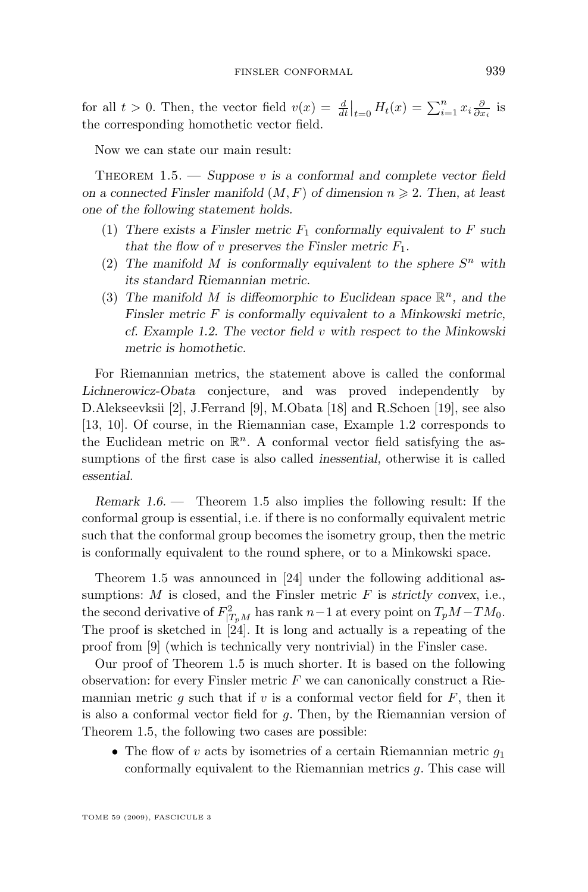<span id="page-3-0"></span>for all  $t > 0$ . Then, the vector field  $v(x) = \frac{d}{dt}\Big|_{t=0} H_t(x) = \sum_{i=1}^n x_i \frac{\partial}{\partial x_i}$  is the corresponding homothetic vector field.

Now we can state our main result:

THEOREM 1.5. — *Suppose* v is a conformal and complete vector field *on a connected Finsler manifold*  $(M, F)$  *of dimension*  $n \ge 2$ . *Then, at least one of the following statement holds.*

- (1) There exists a Finsler metric  $F_1$  conformally equivalent to F such *that the flow of v preserves the Finsler metric*  $F_1$ .
- (2) The manifold M is conformally equivalent to the sphere  $S<sup>n</sup>$  with *its standard Riemannian metric.*
- (3) The manifold M is diffeomorphic to Euclidean space  $\mathbb{R}^n$ , and the *Finsler metric* F *is conformally equivalent to a Minkowski metric, cf. Example [1.2.](#page-2-0) The vector field* v *with respect to the Minkowski metric is homothetic.*

For Riemannian metrics, the statement above is called the conformal *Lichnerowicz-Obata* conjecture, and was proved independently by D.Alekseevksii [\[2\]](#page-12-0), J.Ferrand [\[9\]](#page-12-0), M.Obata [\[18\]](#page-13-0) and R.Schoen [\[19\]](#page-13-0), see also [\[13,](#page-12-0) [10\]](#page-12-0). Of course, in the Riemannian case, Example [1.2](#page-2-0) corresponds to the Euclidean metric on  $\mathbb{R}^n$ . A conformal vector field satisfying the assumptions of the first case is also called *inessential,* otherwise it is called *essential.*

*Remark 1.6. —* Theorem 1.5 also implies the following result: If the conformal group is essential, i.e. if there is no conformally equivalent metric such that the conformal group becomes the isometry group, then the metric is conformally equivalent to the round sphere, or to a Minkowski space.

Theorem 1.5 was announced in [\[24\]](#page-13-0) under the following additional assumptions: M is closed, and the Finsler metric F is *strictly convex*, i.e., the second derivative of  $F_{|T_pM}^2$  has rank  $n-1$  at every point on  $T_pM-TM_0$ . The proof is sketched in  $[24]$ . It is long and actually is a repeating of the proof from [\[9\]](#page-12-0) (which is technically very nontrivial) in the Finsler case.

Our proof of Theorem 1.5 is much shorter. It is based on the following observation: for every Finsler metric  $F$  we can canonically construct a Riemannian metric g such that if v is a conformal vector field for  $F$ , then it is also a conformal vector field for  $q$ . Then, by the Riemannian version of Theorem 1.5, the following two cases are possible:

• The flow of v acts by isometries of a certain Riemannian metric  $q_1$ conformally equivalent to the Riemannian metrics g. This case will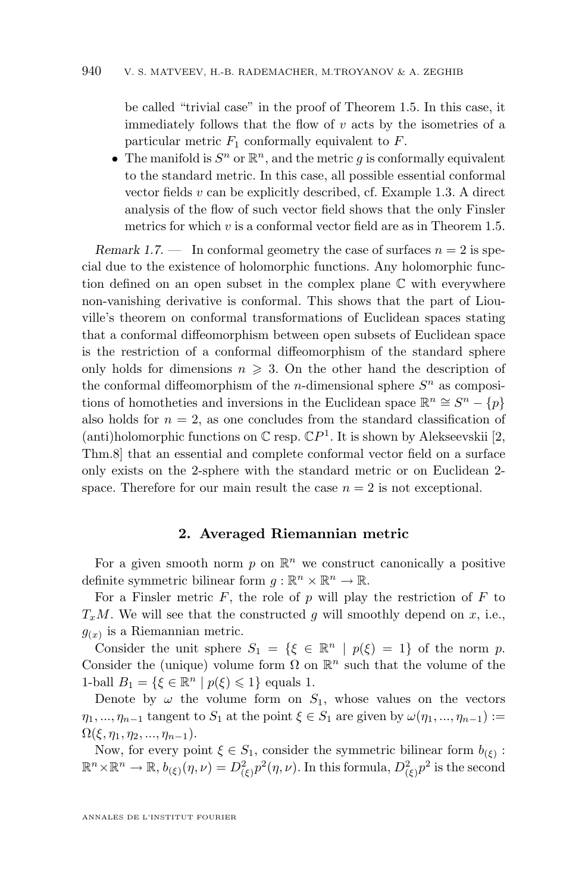<span id="page-4-0"></span>be called "trivial case" in the proof of Theorem [1.5.](#page-3-0) In this case, it immediately follows that the flow of  $v$  acts by the isometries of a particular metric  $F_1$  conformally equivalent to  $F$ .

• The manifold is  $S^n$  or  $\mathbb{R}^n$ , and the metric g is conformally equivalent to the standard metric. In this case, all possible essential conformal vector fields  $v$  can be explicitly described, cf. Example [1.3.](#page-2-0) A direct analysis of the flow of such vector field shows that the only Finsler metrics for which  $v$  is a conformal vector field are as in Theorem [1.5.](#page-3-0)

*Remark 1.7.* — In conformal geometry the case of surfaces  $n = 2$  is special due to the existence of holomorphic functions. Any holomorphic function defined on an open subset in the complex plane C with everywhere non-vanishing derivative is conformal. This shows that the part of Liouville's theorem on conformal transformations of Euclidean spaces stating that a conformal diffeomorphism between open subsets of Euclidean space is the restriction of a conformal diffeomorphism of the standard sphere only holds for dimensions  $n \geqslant 3$ . On the other hand the description of the conformal diffeomorphism of the *n*-dimensional sphere  $S<sup>n</sup>$  as compositions of homotheties and inversions in the Euclidean space  $\mathbb{R}^n \cong S^n - \{p\}$ also holds for  $n = 2$ , as one concludes from the standard classification of (anti)holomorphic functions on  $\mathbb C$  resp.  $\mathbb C P^1$ . It is shown by Alekseevskii [\[2,](#page-12-0) Thm.8] that an essential and complete conformal vector field on a surface only exists on the 2-sphere with the standard metric or on Euclidean 2 space. Therefore for our main result the case  $n = 2$  is not exceptional.

#### **2. Averaged Riemannian metric**

For a given smooth norm  $p$  on  $\mathbb{R}^n$  we construct canonically a positive definite symmetric bilinear form  $g: \mathbb{R}^n \times \mathbb{R}^n \to \mathbb{R}$ .

For a Finsler metric  $F$ , the role of  $p$  will play the restriction of  $F$  to  $T_xM$ . We will see that the constructed g will smoothly depend on x, i.e.,  $g(x)$  is a Riemannian metric.

Consider the unit sphere  $S_1 = \{ \xi \in \mathbb{R}^n \mid p(\xi) = 1 \}$  of the norm p. Consider the (unique) volume form  $\Omega$  on  $\mathbb{R}^n$  such that the volume of the 1-ball  $B_1 = \{ \xi \in \mathbb{R}^n \mid p(\xi) \leq 1 \}$  equals 1.

Denote by  $\omega$  the volume form on  $S_1$ , whose values on the vectors  $\eta_1, ..., \eta_{n-1}$  tangent to  $S_1$  at the point  $\xi \in S_1$  are given by  $\omega(\eta_1, ..., \eta_{n-1}) :=$  $\Omega(\xi, \eta_1, \eta_2, ..., \eta_{n-1}).$ 

Now, for every point  $\xi \in S_1$ , consider the symmetric bilinear form  $b_{(\xi)}$ :  $\mathbb{R}^n \times \mathbb{R}^n \to \mathbb{R}, b_{(\xi)}(\eta, \nu) = D_{(\xi)}^2 p^2(\eta, \nu)$ . In this formula,  $D_{(\xi)}^2 p^2$  is the second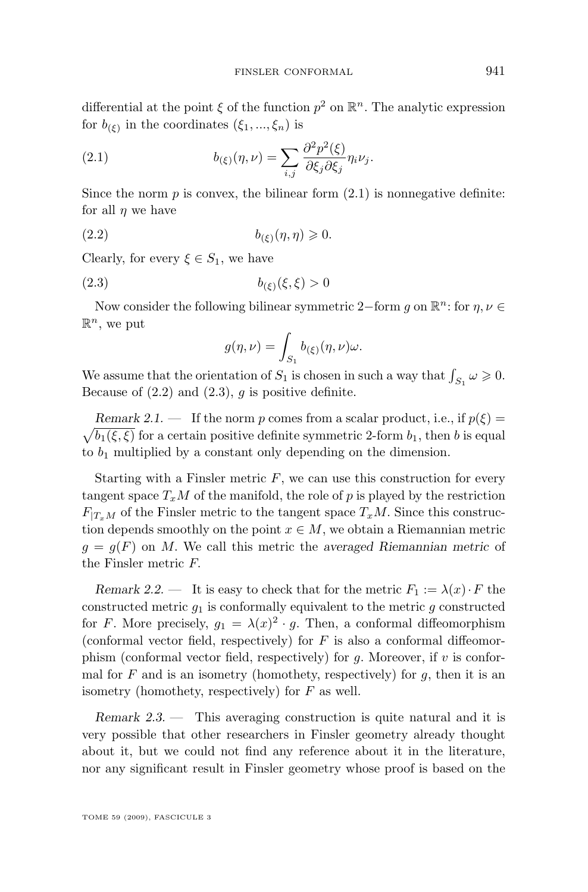<span id="page-5-0"></span>differential at the point  $\xi$  of the function  $p^2$  on  $\mathbb{R}^n$ . The analytic expression for  $b_{(\xi)}$  in the coordinates  $(\xi_1, ..., \xi_n)$  is

(2.1) 
$$
b_{(\xi)}(\eta,\nu) = \sum_{i,j} \frac{\partial^2 p^2(\xi)}{\partial \xi_j \partial \xi_j} \eta_i \nu_j.
$$

Since the norm  $p$  is convex, the bilinear form  $(2.1)$  is nonnegative definite: for all  $\eta$  we have

$$
(2.2) \t\t b_{(\xi)}(\eta, \eta) \geqslant 0.
$$

Clearly, for every  $\xi \in S_1$ , we have

$$
(2.3) \t\t b_{(\xi)}(\xi,\xi) > 0
$$

Now consider the following bilinear symmetric 2–form g on  $\mathbb{R}^n$ : for  $\eta, \nu \in$  $\mathbb{R}^n$ , we put

$$
g(\eta,\nu)=\int_{S_1}b_{(\xi)}(\eta,\nu)\omega.
$$

We assume that the orientation of  $S_1$  is chosen in such a way that  $\int_{S_1} \omega \geq 0$ . Because of  $(2.2)$  and  $(2.3)$ , g is positive definite.

 $\sqrt{b_1(\xi,\xi)}$  for a certain positive definite symmetric 2-form  $b_1$ , then b is equal *Remark 2.1.* — If the norm p comes from a scalar product, i.e., if  $p(\xi)$  = to  $b_1$  multiplied by a constant only depending on the dimension.

Starting with a Finsler metric  $F$ , we can use this construction for every tangent space  $T_xM$  of the manifold, the role of p is played by the restriction  $F_{T,M}$  of the Finsler metric to the tangent space  $T_xM$ . Since this construction depends smoothly on the point  $x \in M$ , we obtain a Riemannian metric  $g = g(F)$  on M. We call this metric the *averaged Riemannian metric* of the Finsler metric F.

*Remark 2.2.* — It is easy to check that for the metric  $F_1 := \lambda(x) \cdot F$  the constructed metric  $g_1$  is conformally equivalent to the metric g constructed for F. More precisely,  $g_1 = \lambda(x)^2 \cdot g$ . Then, a conformal diffeomorphism (conformal vector field, respectively) for  $F$  is also a conformal diffeomorphism (conformal vector field, respectively) for  $g$ . Moreover, if  $v$  is conformal for  $F$  and is an isometry (homothety, respectively) for  $g$ , then it is an isometry (homothety, respectively) for  $F$  as well.

*Remark 2.3. —* This averaging construction is quite natural and it is very possible that other researchers in Finsler geometry already thought about it, but we could not find any reference about it in the literature, nor any significant result in Finsler geometry whose proof is based on the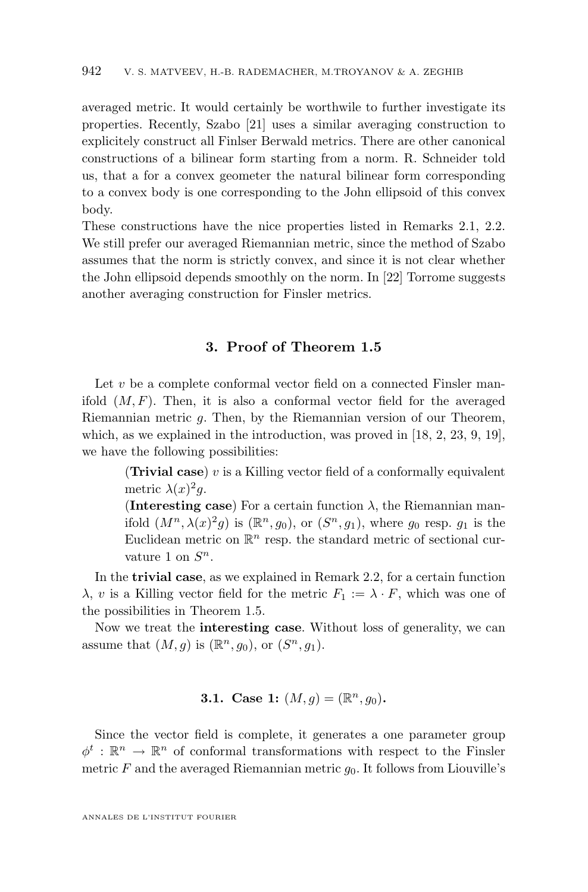<span id="page-6-0"></span>averaged metric. It would certainly be worthwile to further investigate its properties. Recently, Szabo [\[21\]](#page-13-0) uses a similar averaging construction to explicitely construct all Finlser Berwald metrics. There are other canonical constructions of a bilinear form starting from a norm. R. Schneider told us, that a for a convex geometer the natural bilinear form corresponding to a convex body is one corresponding to the John ellipsoid of this convex body.

These constructions have the nice properties listed in Remarks [2.1,](#page-5-0) [2.2.](#page-5-0) We still prefer our averaged Riemannian metric, since the method of Szabo assumes that the norm is strictly convex, and since it is not clear whether the John ellipsoid depends smoothly on the norm. In [\[22\]](#page-13-0) Torrome suggests another averaging construction for Finsler metrics.

#### **3. Proof of Theorem [1.5](#page-3-0)**

Let  $v$  be a complete conformal vector field on a connected Finsler manifold  $(M, F)$ . Then, it is also a conformal vector field for the averaged Riemannian metric g. Then, by the Riemannian version of our Theorem, which, as we explained in the introduction, was proved in [\[18,](#page-13-0) [2,](#page-12-0) [23,](#page-13-0) [9,](#page-12-0) [19\]](#page-13-0), we have the following possibilities:

> (**Trivial case**)  $v$  is a Killing vector field of a conformally equivalent metric  $\lambda(x)^2 g$ .

> (**Interesting case**) For a certain function  $\lambda$ , the Riemannian manifold  $(M^n, \lambda(x)^2 g)$  is  $(\mathbb{R}^n, g_0)$ , or  $(S^n, g_1)$ , where  $g_0$  resp.  $g_1$  is the Euclidean metric on  $\mathbb{R}^n$  resp. the standard metric of sectional curvature 1 on  $S^n$ .

In the **trivial case**, as we explained in Remark [2.2,](#page-5-0) for a certain function  $\lambda$ , v is a Killing vector field for the metric  $F_1 := \lambda \cdot F$ , which was one of the possibilities in Theorem [1.5.](#page-3-0)

Now we treat the **interesting case**. Without loss of generality, we can assume that  $(M, g)$  is  $(\mathbb{R}^n, g_0)$ , or  $(S^n, g_1)$ .

#### **3.1.** Case 1:  $(M, g) = (\mathbb{R}^n, g_0)$ .

Since the vector field is complete, it generates a one parameter group  $\phi^t : \mathbb{R}^n \to \mathbb{R}^n$  of conformal transformations with respect to the Finsler metric  $F$  and the averaged Riemannian metric  $g_0$ . It follows from Liouville's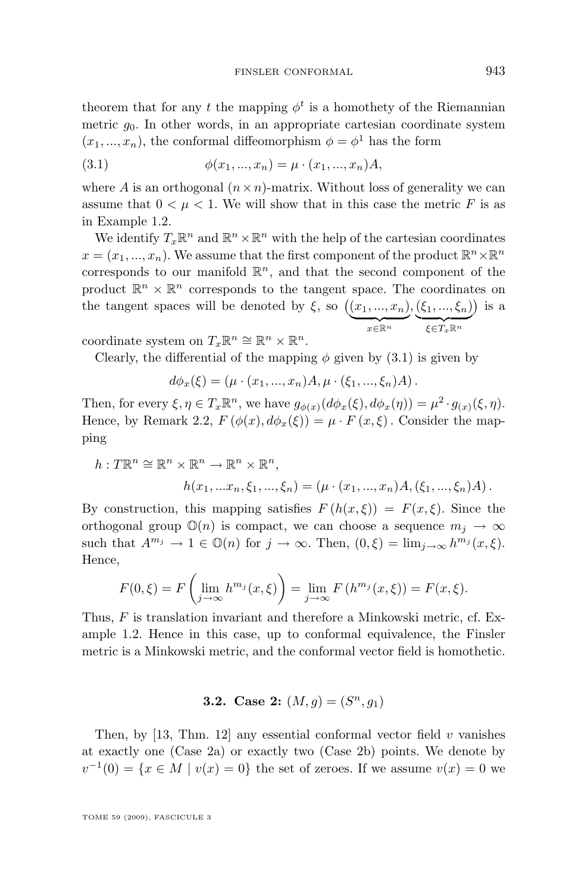theorem that for any t the mapping  $\phi^t$  is a homothety of the Riemannian metric  $q_0$ . In other words, in an appropriate cartesian coordinate system  $(x_1, ..., x_n)$ , the conformal diffeomorphism  $\phi = \phi^1$  has the form

(3.1) 
$$
\phi(x_1, ..., x_n) = \mu \cdot (x_1, ..., x_n)A,
$$

where A is an orthogonal  $(n \times n)$ -matrix. Without loss of generality we can assume that  $0 < \mu < 1$ . We will show that in this case the metric F is as in Example [1.2.](#page-2-0)

We identify  $T_x\mathbb{R}^n$  and  $\mathbb{R}^n \times \mathbb{R}^n$  with the help of the cartesian coordinates  $x = (x_1, ..., x_n)$ . We assume that the first component of the product  $\mathbb{R}^n \times \mathbb{R}^n$ corresponds to our manifold  $\mathbb{R}^n$ , and that the second component of the product  $\mathbb{R}^n \times \mathbb{R}^n$  corresponds to the tangent space. The coordinates on the tangent spaces will be denoted by  $\xi$ , so  $((x_1, ..., x_n))$  $x \in \mathbb{R}^n$  $,(\xi _{1},...,\xi _{n})$  $\xi \in T_x \mathbb{R}^n$ is a

coordinate system on  $T_x \mathbb{R}^n \cong \mathbb{R}^n \times \mathbb{R}^n$ .

Clearly, the differential of the mapping  $\phi$  given by (3.1) is given by

$$
d\phi_x(\xi) = (\mu \cdot (x_1, ..., x_n)A, \mu \cdot (\xi_1, ..., \xi_n)A).
$$

Then, for every  $\xi, \eta \in T_x \mathbb{R}^n$ , we have  $g_{\phi(x)}(d\phi_x(\xi), d\phi_x(\eta)) = \mu^2 \cdot g_{(x)}(\xi, \eta)$ . Hence, by Remark [2.2,](#page-5-0)  $F(\phi(x), d\phi_x(\xi)) = \mu \cdot F(x, \xi)$ . Consider the mapping

$$
h: T\mathbb{R}^n \cong \mathbb{R}^n \times \mathbb{R}^n \to \mathbb{R}^n \times \mathbb{R}^n,
$$
  

$$
h(x_1, \dots, x_n, \xi_1, \dots, \xi_n) = (\mu \cdot (x_1, \dots, x_n)A, (\xi_1, \dots, \xi_n)A).
$$

By construction, this mapping satisfies  $F(h(x,\xi)) = F(x,\xi)$ . Since the orthogonal group  $\mathbb{O}(n)$  is compact, we can choose a sequence  $m_i \to \infty$ such that  $A^{m_j} \to 1 \in \mathbb{O}(n)$  for  $j \to \infty$ . Then,  $(0,\xi) = \lim_{j \to \infty} h^{m_j}(x,\xi)$ . Hence,

$$
F(0,\xi) = F\left(\lim_{j\to\infty} h^{m_j}(x,\xi)\right) = \lim_{j\to\infty} F\left(h^{m_j}(x,\xi)\right) = F(x,\xi).
$$

Thus, F is translation invariant and therefore a Minkowski metric, cf. Example [1.2.](#page-2-0) Hence in this case, up to conformal equivalence, the Finsler metric is a Minkowski metric, and the conformal vector field is homothetic.

#### **3.2.** Case 2:  $(M, g) = (S^n, g_1)$

Then, by [\[13,](#page-12-0) Thm. 12] any essential conformal vector field  $v$  vanishes at exactly one (Case 2a) or exactly two (Case 2b) points. We denote by  $v^{-1}(0) = \{x \in M \mid v(x) = 0\}$  the set of zeroes. If we assume  $v(x) = 0$  we

TOME 59 (2009), FASCICULE 3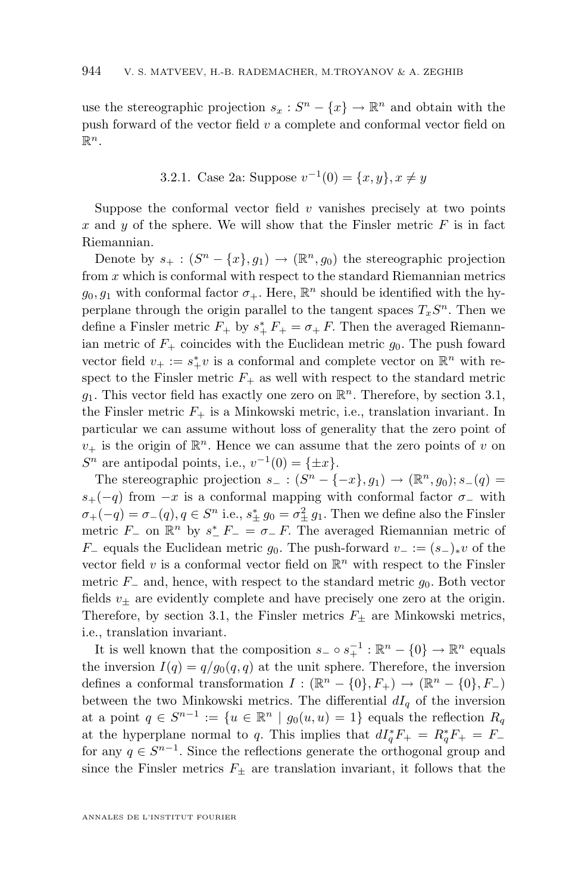<span id="page-8-0"></span>use the stereographic projection  $s_x : S^n - \{x\} \to \mathbb{R}^n$  and obtain with the push forward of the vector field  $v$  a complete and conformal vector field on  $\mathbb{R}^n$ .

3.2.1. Case 2a: Suppose 
$$
v^{-1}(0) = \{x, y\}, x \neq y
$$

Suppose the conformal vector field  $v$  vanishes precisely at two points x and y of the sphere. We will show that the Finsler metric  $F$  is in fact Riemannian.

Denote by  $s_+ : (S^n - \{x\}, g_1) \to (\mathbb{R}^n, g_0)$  the stereographic projection from  $x$  which is conformal with respect to the standard Riemannian metrics  $g_0, g_1$  with conformal factor  $\sigma_+$ . Here,  $\mathbb{R}^n$  should be identified with the hyperplane through the origin parallel to the tangent spaces  $T_xS^n$ . Then we define a Finsler metric  $F_+$  by  $s^*_{+} F_+ = \sigma_+ F$ . Then the averaged Riemannian metric of  $F_+$  coincides with the Euclidean metric  $g_0$ . The push foward vector field  $v_+ := s_+^* v$  is a conformal and complete vector on  $\mathbb{R}^n$  with respect to the Finsler metric  $F_{+}$  as well with respect to the standard metric  $g_1$ . This vector field has exactly one zero on  $\mathbb{R}^n$ . Therefore, by section [3.1,](#page-6-0) the Finsler metric  $F_+$  is a Minkowski metric, i.e., translation invariant. In particular we can assume without loss of generality that the zero point of  $v_+$  is the origin of  $\mathbb{R}^n$ . Hence we can assume that the zero points of v on  $S<sup>n</sup>$  are antipodal points, i.e.,  $v^{-1}(0) = {\pm x}.$ 

The stereographic projection  $s_- : (S^n - \{-x\}, g_1) \to (\mathbb{R}^n, g_0); s_-(q) =$  $s_{+}(-q)$  from  $-x$  is a conformal mapping with conformal factor  $\sigma_{-}$  with  $\sigma_{+}(-q) = \sigma_{-}(q), q \in S^{n}$  i.e.,  $s_{\pm}^{*} g_{0} = \sigma_{\pm}^{2} g_{1}$ . Then we define also the Finsler metric  $F_$  on  $\mathbb{R}^n$  by  $s^*$   $F_$  =  $\sigma$   $\subset$   $F$ . The averaged Riemannian metric of  $F_$  equals the Euclidean metric  $g_0$ . The push-forward  $v_$  :=  $(s_$ <sub>∗</sub>v of the vector field  $v$  is a conformal vector field on  $\mathbb{R}^n$  with respect to the Finsler metric  $F_$  and, hence, with respect to the standard metric  $g_0$ . Both vector fields  $v_{\pm}$  are evidently complete and have precisely one zero at the origin. Therefore, by section [3.1,](#page-6-0) the Finsler metrics  $F_{\pm}$  are Minkowski metrics, i.e., translation invariant.

It is well known that the composition  $s_-\circ s_+^{-1}:\mathbb{R}^n-\{0\}\to\mathbb{R}^n$  equals the inversion  $I(q) = q/g_0(q,q)$  at the unit sphere. Therefore, the inversion defines a conformal transformation  $I: (\mathbb{R}^n - \{0\}, F_+) \to (\mathbb{R}^n - \{0\}, F_-)$ between the two Minkowski metrics. The differential  $dI<sub>q</sub>$  of the inversion at a point  $q \in S^{n-1} := \{u \in \mathbb{R}^n \mid g_0(u, u) = 1\}$  equals the reflection  $R_q$ at the hyperplane normal to q. This implies that  $dI_q^*F_+ = R_q^*F_+ = F_$ for any  $q \in S^{n-1}$ . Since the reflections generate the orthogonal group and since the Finsler metrics  $F_{\pm}$  are translation invariant, it follows that the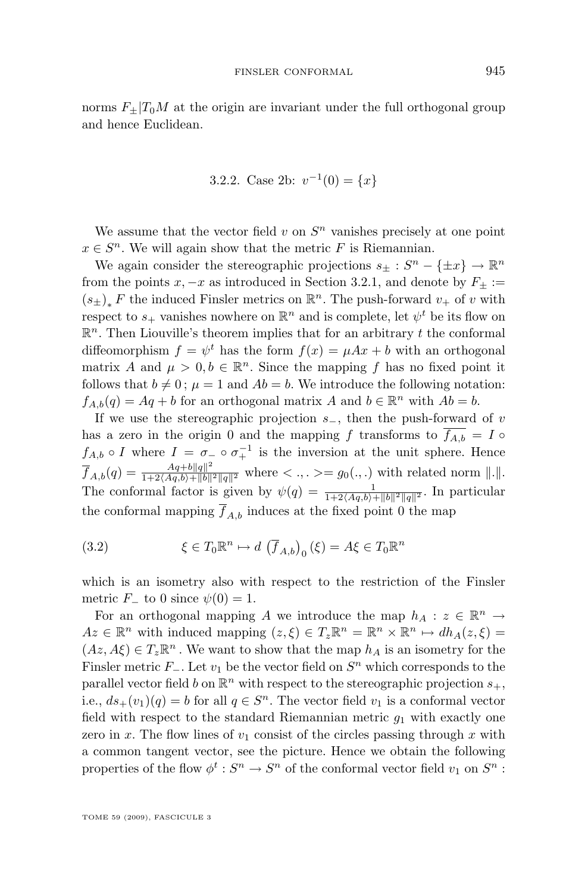<span id="page-9-0"></span>norms  $F_{\pm}|T_0M$  at the origin are invariant under the full orthogonal group and hence Euclidean.

3.2.2. Case 2b: 
$$
v^{-1}(0) = \{x\}
$$

We assume that the vector field  $v$  on  $S<sup>n</sup>$  vanishes precisely at one point  $x \in S<sup>n</sup>$ . We will again show that the metric F is Riemannian.

We again consider the stereographic projections  $s_{\pm}: S^n - \{\pm x\} \to \mathbb{R}^n$ from the points x,  $-x$  as introduced in Section [3.2.1,](#page-8-0) and denote by  $F_{\pm} :=$  $(s_{\pm})_*\,F$  the induced Finsler metrics on  $\mathbb{R}^n.$  The push-forward  $v_+$  of  $v$  with respect to  $s_+$  vanishes nowhere on  $\mathbb{R}^n$  and is complete, let  $\psi^t$  be its flow on  $\mathbb{R}^n$ . Then Liouville's theorem implies that for an arbitrary t the conformal diffeomorphism  $f = \psi^t$  has the form  $f(x) = \mu A x + b$  with an orthogonal matrix A and  $\mu > 0, b \in \mathbb{R}^n$ . Since the mapping f has no fixed point it follows that  $b \neq 0$ ;  $\mu = 1$  and  $Ab = b$ . We introduce the following notation:  $f_{A,b}(q) = Aq + b$  for an orthogonal matrix A and  $b \in \mathbb{R}^n$  with  $Ab = b$ .

If we use the stereographic projection  $s_$ , then the push-forward of v has a zero in the origin 0 and the mapping f transforms to  $\overline{f_{A,b}} = I \circ$  $f_{A,b} \circ I$  where  $I = \sigma_- \circ \sigma_+^{-1}$  is the inversion at the unit sphere. Hence  $\overline{f}_{A,b}(q) = \frac{Aq + b||q||^2}{1 + 2\langle Aq, b \rangle + ||b||^2 ||q||^2}$  where  $\langle , , \rangle = g_0(.,.)$  with related norm  $||.||.$ The conformal factor is given by  $\psi(q) = \frac{1}{1+2\langle Aq,b\rangle+||b||^2||q||^2}$ . In particular the conformal mapping  $\overline{f}_{A,b}$  induces at the fixed point 0 the map

(3.2) 
$$
\xi \in T_0 \mathbb{R}^n \mapsto d \left( \overline{f}_{A,b} \right)_0 (\xi) = A \xi \in T_0 \mathbb{R}^n
$$

which is an isometry also with respect to the restriction of the Finsler metric  $F_$  to 0 since  $\psi(0) = 1$ .

For an orthogonal mapping A we introduce the map  $h_A: z \in \mathbb{R}^n \to$  $Az \in \mathbb{R}^n$  with induced mapping  $(z, \xi) \in T_z \mathbb{R}^n = \mathbb{R}^n \times \mathbb{R}^n \mapsto dh_A(z, \xi) =$  $(Az, A\xi) \in T_z \mathbb{R}^n$ . We want to show that the map  $h_A$  is an isometry for the Finsler metric  $F_$ . Let  $v_1$  be the vector field on  $S<sup>n</sup>$  which corresponds to the parallel vector field b on  $\mathbb{R}^n$  with respect to the stereographic projection  $s_+$ , i.e.,  $ds_{+}(v_1)(q) = b$  for all  $q \in S<sup>n</sup>$ . The vector field  $v_1$  is a conformal vector field with respect to the standard Riemannian metric  $g_1$  with exactly one zero in x. The flow lines of  $v_1$  consist of the circles passing through x with a common tangent vector, see the picture. Hence we obtain the following properties of the flow  $\phi^t: S^n \to S^n$  of the conformal vector field  $v_1$  on  $S^n$ :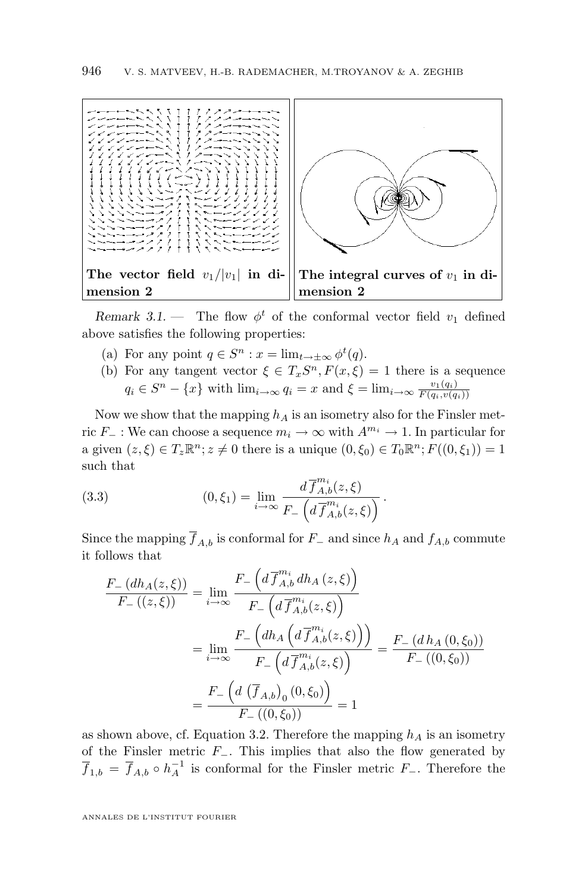<span id="page-10-0"></span>

*Remark 3.1.* – The flow  $\phi^t$  of the conformal vector field  $v_1$  defined above satisfies the following properties:

- (a) For any point  $q \in S^n : x = \lim_{t \to \pm \infty} \phi^t(q)$ .
- (b) For any tangent vector  $\xi \in T_x S^n$ ,  $F(x,\xi) = 1$  there is a sequence  $q_i \in S^n - \{x\}$  with  $\lim_{i \to \infty} q_i = x$  and  $\xi = \lim_{i \to \infty} \frac{v_1(q_i)}{F(q_i, v(q_i))}$  $F(q_i,v(q_i))$

Now we show that the mapping  $h_A$  is an isometry also for the Finsler metric  $F_$  : We can choose a sequence  $m_i \to \infty$  with  $A^{m_i} \to 1$ . In particular for a given  $(z, \xi) \in T_z \mathbb{R}^n$ ;  $z \neq 0$  there is a unique  $(0, \xi_0) \in T_0 \mathbb{R}^n$ ;  $F((0, \xi_1)) = 1$ such that

(3.3) 
$$
(0, \xi_1) = \lim_{i \to \infty} \frac{d \overline{f}_{A,b}^{m_i}(z, \xi)}{F_{-}\left(d \overline{f}_{A,b}^{m_i}(z, \xi)\right)}.
$$

Since the mapping  $\overline{f}_{A,b}$  is conformal for  $F_-\,$  and since  $h_A$  and  $f_{A,b}$  commute it follows that

$$
\frac{F_{-} (dh_{A}(z,\xi))}{F_{-} ((z,\xi))} = \lim_{i \to \infty} \frac{F_{-} \left( d \overline{f}_{A,b}^{m_{i}} dh_{A}(z,\xi) \right)}{F_{-} \left( d \overline{f}_{A,b}^{m_{i}}(z,\xi) \right)}
$$
\n
$$
= \lim_{i \to \infty} \frac{F_{-} \left( dh_{A} \left( d \overline{f}_{A,b}^{m_{i}}(z,\xi) \right) \right)}{F_{-} \left( d \overline{f}_{A,b}^{m_{i}}(z,\xi) \right)} = \frac{F_{-} (dh_{A} (0,\xi_{0}))}{F_{-} ((0,\xi_{0}))}
$$
\n
$$
= \frac{F_{-} \left( d \left( \overline{f}_{A,b} \right)_{0} (0,\xi_{0}) \right)}{F_{-} ((0,\xi_{0}))} = 1
$$

as shown above, cf. Equation [3.2.](#page-9-0) Therefore the mapping  $h_A$  is an isometry of the Finsler metric F−. This implies that also the flow generated by  $\overline{f}_{1,b} = \overline{f}_{A,b} \circ h_A^{-1}$  is conformal for the Finsler metric  $F_{-}$ . Therefore the

ANNALES DE L'INSTITUT FOURIER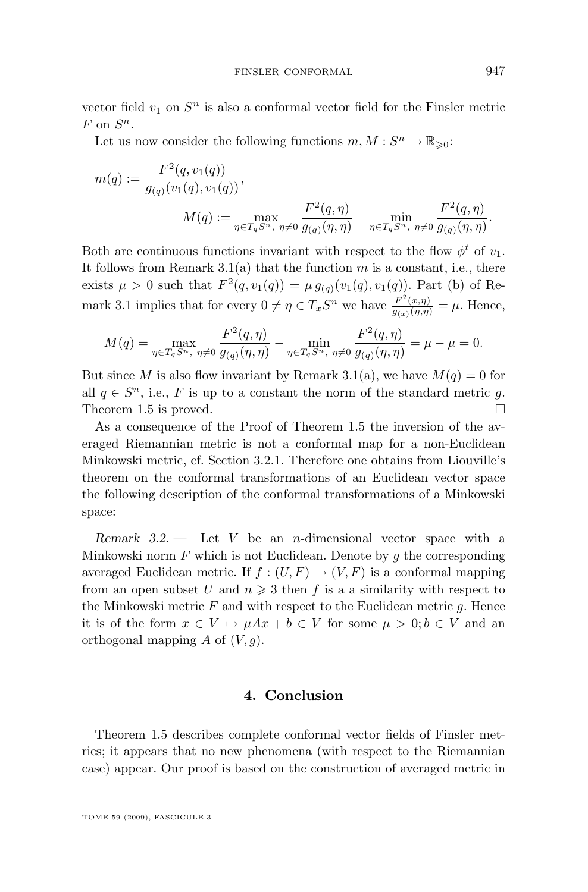vector field  $v_1$  on  $S^n$  is also a conformal vector field for the Finsler metric  $F$  on  $S^n$ .

Let us now consider the following functions  $m, M : S^n \to \mathbb{R}_{\geqslant 0}$ :

$$
m(q) := \frac{F^2(q, v_1(q))}{g_{(q)}(v_1(q), v_1(q))},
$$
  

$$
M(q) := \max_{\eta \in T_q S^n, \ \eta \neq 0} \frac{F^2(q, \eta)}{g_{(q)}(\eta, \eta)} - \min_{\eta \in T_q S^n, \ \eta \neq 0} \frac{F^2(q, \eta)}{g_{(q)}(\eta, \eta)}.
$$

Both are continuous functions invariant with respect to the flow  $\phi^t$  of  $v_1$ . It follows from Remark [3.1\(](#page-10-0)a) that the function  $m$  is a constant, i.e., there exists  $\mu > 0$  such that  $F^2(q, v_1(q)) = \mu g_{(q)}(v_1(q), v_1(q))$ . Part (b) of Re-mark [3.1](#page-10-0) implies that for every  $0 \neq \eta \in T_xS^n$  we have  $\frac{F^2(x,\eta)}{g_{(x)}(\eta,\eta)} = \mu$ . Hence,

$$
M(q) = \max_{\eta \in T_q S^n, \ \eta \neq 0} \frac{F^2(q, \eta)}{g_{(q)}(\eta, \eta)} - \min_{\eta \in T_q S^n, \ \eta \neq 0} \frac{F^2(q, \eta)}{g_{(q)}(\eta, \eta)} = \mu - \mu = 0.
$$

But since M is also flow invariant by Remark [3.1\(](#page-10-0)a), we have  $M(q) = 0$  for all  $q \in S<sup>n</sup>$ , i.e., F is up to a constant the norm of the standard metric g. Theorem [1.5](#page-3-0) is proved.  $\square$ 

As a consequence of the Proof of Theorem [1.5](#page-3-0) the inversion of the averaged Riemannian metric is not a conformal map for a non-Euclidean Minkowski metric, cf. Section [3.2.1.](#page-8-0) Therefore one obtains from Liouville's theorem on the conformal transformations of an Euclidean vector space the following description of the conformal transformations of a Minkowski space:

*Remark 3.2. —* Let V be an n-dimensional vector space with a Minkowski norm  $F$  which is not Euclidean. Denote by  $g$  the corresponding averaged Euclidean metric. If  $f : (U, F) \to (V, F)$  is a conformal mapping from an open subset U and  $n \geq 3$  then f is a a similarity with respect to the Minkowski metric  $F$  and with respect to the Euclidean metric  $g$ . Hence it is of the form  $x \in V \mapsto \mu Ax + b \in V$  for some  $\mu > 0; b \in V$  and an orthogonal mapping A of  $(V, q)$ .

#### **4. Conclusion**

Theorem [1.5](#page-3-0) describes complete conformal vector fields of Finsler metrics; it appears that no new phenomena (with respect to the Riemannian case) appear. Our proof is based on the construction of averaged metric in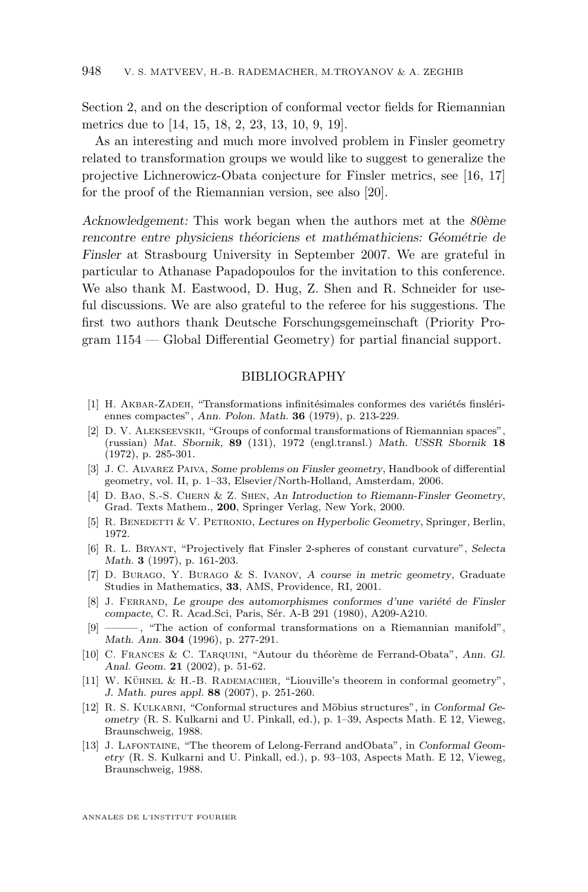<span id="page-12-0"></span>Section [2,](#page-4-0) and on the description of conformal vector fields for Riemannian metrics due to [\[14,](#page-13-0) [15,](#page-13-0) [18,](#page-13-0) 2, [23,](#page-13-0) 13, 10, 9, [19\]](#page-13-0).

As an interesting and much more involved problem in Finsler geometry related to transformation groups we would like to suggest to generalize the projective Lichnerowicz-Obata conjecture for Finsler metrics, see [\[16,](#page-13-0) [17\]](#page-13-0) for the proof of the Riemannian version, see also [\[20\]](#page-13-0).

*Acknowledgement:* This work began when the authors met at the *80ème rencontre entre physiciens théoriciens et mathémathiciens: Géométrie de Finsler* at Strasbourg University in September 2007. We are grateful in particular to Athanase Papadopoulos for the invitation to this conference. We also thank M. Eastwood, D. Hug, Z. Shen and R. Schneider for useful discussions. We are also grateful to the referee for his suggestions. The first two authors thank Deutsche Forschungsgemeinschaft (Priority Program 1154 — Global Differential Geometry) for partial financial support.

#### BIBLIOGRAPHY

- [1] H. Akbar-Zadeh, "Transformations infinitésimales conformes des variétés finslériennes compactes", *Ann. Polon. Math.* **36** (1979), p. 213-229.
- [2] D. V. Alekseevskii, "Groups of conformal transformations of Riemannian spaces", (russian) *Mat. Sbornik,* **89** (131), 1972 (engl.transl.) *Math. USSR Sbornik* **18** (1972), p. 285-301.
- [3] J. C. Alvarez Paiva, *Some problems on Finsler geometry*, Handbook of differential geometry, vol. II, p. 1–33, Elsevier/North-Holland, Amsterdam, 2006.
- [4] D. Bao, S.-S. Chern & Z. Shen, *An Introduction to Riemann-Finsler Geometry*, Grad. Texts Mathem., **200**, Springer Verlag, New York, 2000.
- [5] R. Benedetti & V. Petronio, *Lectures on Hyperbolic Geometry*, Springer, Berlin, 1972.
- [6] R. L. Bryant, "Projectively flat Finsler 2-spheres of constant curvature", *Selecta Math.* **3** (1997), p. 161-203.
- [7] D. Burago, Y. Burago & S. Ivanov, *A course in metric geometry*, Graduate Studies in Mathematics, **33**, AMS, Providence, RI, 2001.
- [8] J. Ferrand, *Le groupe des automorphismes conformes d'une variété de Finsler compacte*, C. R. Acad.Sci, Paris, Sér. A-B 291 (1980), A209-A210.
- [9] ——— , "The action of conformal transformations on a Riemannian manifold", *Math. Ann.* **304** (1996), p. 277-291.
- [10] C. Frances & C. Tarquini, "Autour du théorème de Ferrand-Obata", *Ann. Gl. Anal. Geom.* **21** (2002), p. 51-62.
- [11] W. Kühnel & H.-B. Rademacher, "Liouville's theorem in conformal geometry", *J. Math. pures appl.* **88** (2007), p. 251-260.
- [12] R. S. Kulkarni, "Conformal structures and Möbius structures", in *Conformal Geometry* (R. S. Kulkarni and U. Pinkall, ed.), p. 1–39, Aspects Math. E 12, Vieweg, Braunschweig, 1988.
- [13] J. Lafontaine, "The theorem of Lelong-Ferrand andObata", in *Conformal Geometry* (R. S. Kulkarni and U. Pinkall, ed.), p. 93–103, Aspects Math. E 12, Vieweg, Braunschweig, 1988.